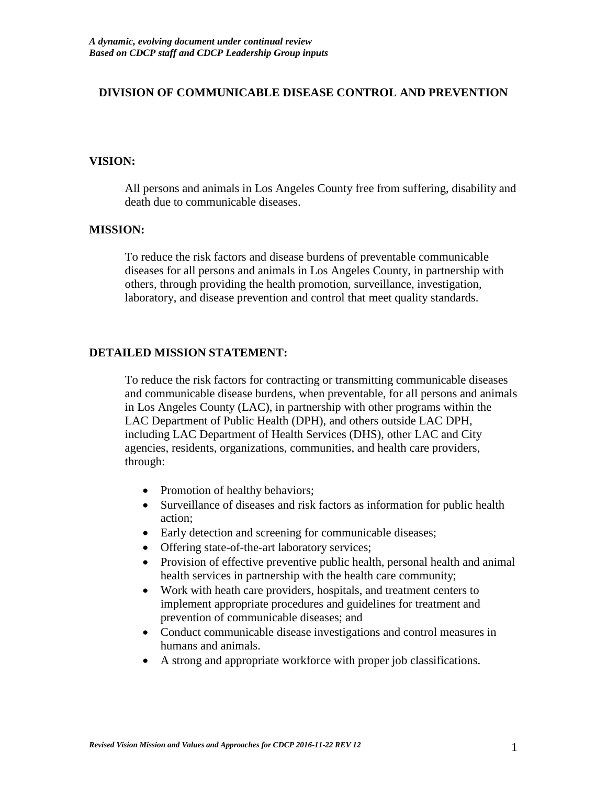#### **DIVISION OF COMMUNICABLE DISEASE CONTROL AND PREVENTION**

#### **VISION:**

All persons and animals in Los Angeles County free from suffering, disability and death due to communicable diseases.

#### **MISSION:**

To reduce the risk factors and disease burdens of preventable communicable diseases for all persons and animals in Los Angeles County, in partnership with others, through providing the health promotion, surveillance, investigation, laboratory, and disease prevention and control that meet quality standards.

#### **DETAILED MISSION STATEMENT:**

To reduce the risk factors for contracting or transmitting communicable diseases and communicable disease burdens, when preventable, for all persons and animals in Los Angeles County (LAC), in partnership with other programs within the LAC Department of Public Health (DPH), and others outside LAC DPH, including LAC Department of Health Services (DHS), other LAC and City agencies, residents, organizations, communities, and health care providers, through:

- Promotion of healthy behaviors;
- Surveillance of diseases and risk factors as information for public health action;
- Early detection and screening for communicable diseases;
- Offering state-of-the-art laboratory services;
- Provision of effective preventive public health, personal health and animal health services in partnership with the health care community;
- Work with heath care providers, hospitals, and treatment centers to implement appropriate procedures and guidelines for treatment and prevention of communicable diseases; and
- Conduct communicable disease investigations and control measures in humans and animals.
- A strong and appropriate workforce with proper job classifications.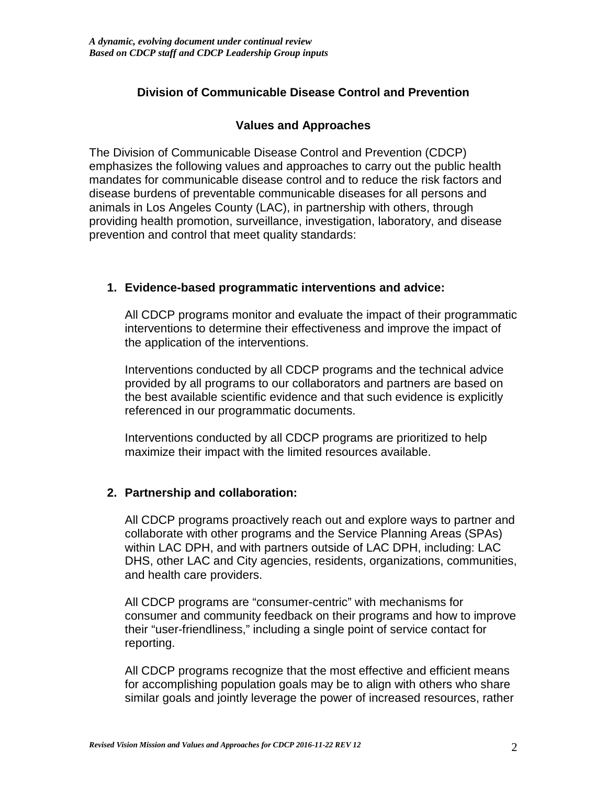# **Division of Communicable Disease Control and Prevention**

# **Values and Approaches**

The Division of Communicable Disease Control and Prevention (CDCP) emphasizes the following values and approaches to carry out the public health mandates for communicable disease control and to reduce the risk factors and disease burdens of preventable communicable diseases for all persons and animals in Los Angeles County (LAC), in partnership with others, through providing health promotion, surveillance, investigation, laboratory, and disease prevention and control that meet quality standards:

# **1. Evidence-based programmatic interventions and advice:**

All CDCP programs monitor and evaluate the impact of their programmatic interventions to determine their effectiveness and improve the impact of the application of the interventions.

Interventions conducted by all CDCP programs and the technical advice provided by all programs to our collaborators and partners are based on the best available scientific evidence and that such evidence is explicitly referenced in our programmatic documents.

Interventions conducted by all CDCP programs are prioritized to help maximize their impact with the limited resources available.

# **2. Partnership and collaboration:**

All CDCP programs proactively reach out and explore ways to partner and collaborate with other programs and the Service Planning Areas (SPAs) within LAC DPH, and with partners outside of LAC DPH, including: LAC DHS, other LAC and City agencies, residents, organizations, communities, and health care providers.

All CDCP programs are "consumer-centric" with mechanisms for consumer and community feedback on their programs and how to improve their "user-friendliness," including a single point of service contact for reporting.

All CDCP programs recognize that the most effective and efficient means for accomplishing population goals may be to align with others who share similar goals and jointly leverage the power of increased resources, rather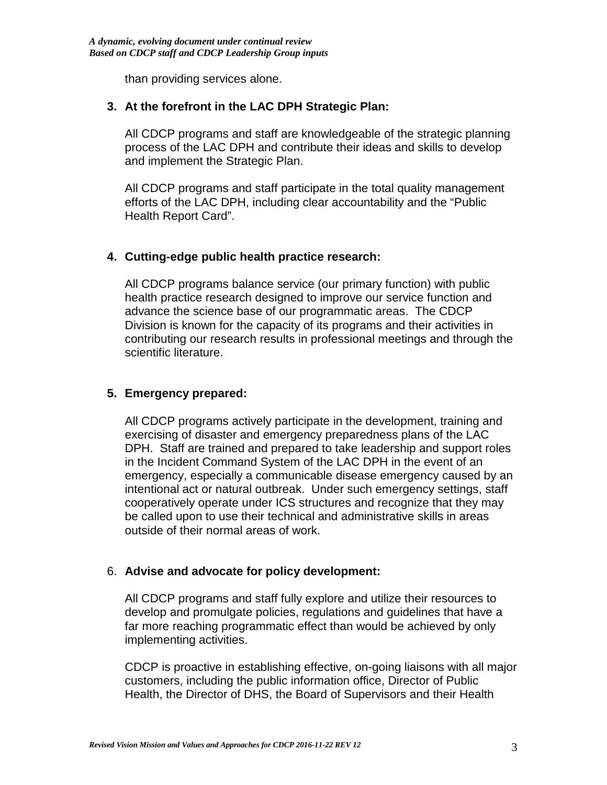than providing services alone.

# **3. At the forefront in the LAC DPH Strategic Plan:**

All CDCP programs and staff are knowledgeable of the strategic planning process of the LAC DPH and contribute their ideas and skills to develop and implement the Strategic Plan.

All CDCP programs and staff participate in the total quality management efforts of the LAC DPH, including clear accountability and the "Public Health Report Card".

# **4. Cutting-edge public health practice research:**

All CDCP programs balance service (our primary function) with public health practice research designed to improve our service function and advance the science base of our programmatic areas. The CDCP Division is known for the capacity of its programs and their activities in contributing our research results in professional meetings and through the scientific literature.

# **5. Emergency prepared:**

All CDCP programs actively participate in the development, training and exercising of disaster and emergency preparedness plans of the LAC DPH. Staff are trained and prepared to take leadership and support roles in the Incident Command System of the LAC DPH in the event of an emergency, especially a communicable disease emergency caused by an intentional act or natural outbreak. Under such emergency settings, staff cooperatively operate under ICS structures and recognize that they may be called upon to use their technical and administrative skills in areas outside of their normal areas of work.

# 6. **Advise and advocate for policy development:**

All CDCP programs and staff fully explore and utilize their resources to develop and promulgate policies, regulations and guidelines that have a far more reaching programmatic effect than would be achieved by only implementing activities.

CDCP is proactive in establishing effective, on-going liaisons with all major customers, including the public information office, Director of Public Health, the Director of DHS, the Board of Supervisors and their Health